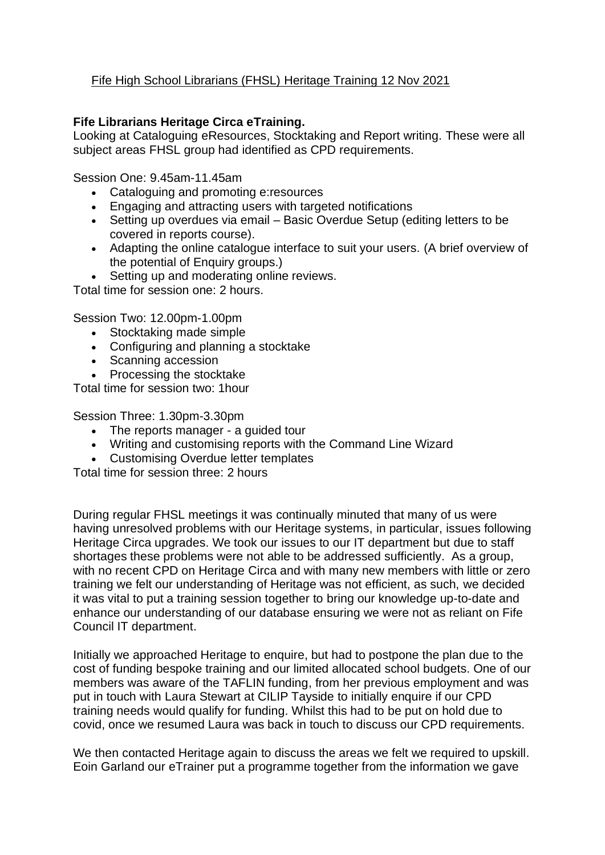## Fife High School Librarians (FHSL) Heritage Training 12 Nov 2021

## **Fife Librarians Heritage Circa eTraining.**

Looking at Cataloguing eResources, Stocktaking and Report writing. These were all subject areas FHSL group had identified as CPD requirements.

Session One: 9.45am-11.45am

- Cataloguing and promoting e:resources
- Engaging and attracting users with targeted notifications
- Setting up overdues via email Basic Overdue Setup (editing letters to be covered in reports course).
- Adapting the online catalogue interface to suit your users. (A brief overview of the potential of Enquiry groups.)
- Setting up and moderating online reviews.

Total time for session one: 2 hours.

Session Two: 12.00pm-1.00pm

- Stocktaking made simple
- Configuring and planning a stocktake
- Scanning accession

• Processing the stocktake

Total time for session two: 1hour

Session Three: 1.30pm-3.30pm

- The reports manager a quided tour
- Writing and customising reports with the Command Line Wizard
- Customising Overdue letter templates

Total time for session three: 2 hours

During regular FHSL meetings it was continually minuted that many of us were having unresolved problems with our Heritage systems, in particular, issues following Heritage Circa upgrades. We took our issues to our IT department but due to staff shortages these problems were not able to be addressed sufficiently. As a group, with no recent CPD on Heritage Circa and with many new members with little or zero training we felt our understanding of Heritage was not efficient, as such, we decided it was vital to put a training session together to bring our knowledge up-to-date and enhance our understanding of our database ensuring we were not as reliant on Fife Council IT department.

Initially we approached Heritage to enquire, but had to postpone the plan due to the cost of funding bespoke training and our limited allocated school budgets. One of our members was aware of the TAFLIN funding, from her previous employment and was put in touch with Laura Stewart at CILIP Tayside to initially enquire if our CPD training needs would qualify for funding. Whilst this had to be put on hold due to covid, once we resumed Laura was back in touch to discuss our CPD requirements.

We then contacted Heritage again to discuss the areas we felt we required to upskill. Eoin Garland our eTrainer put a programme together from the information we gave